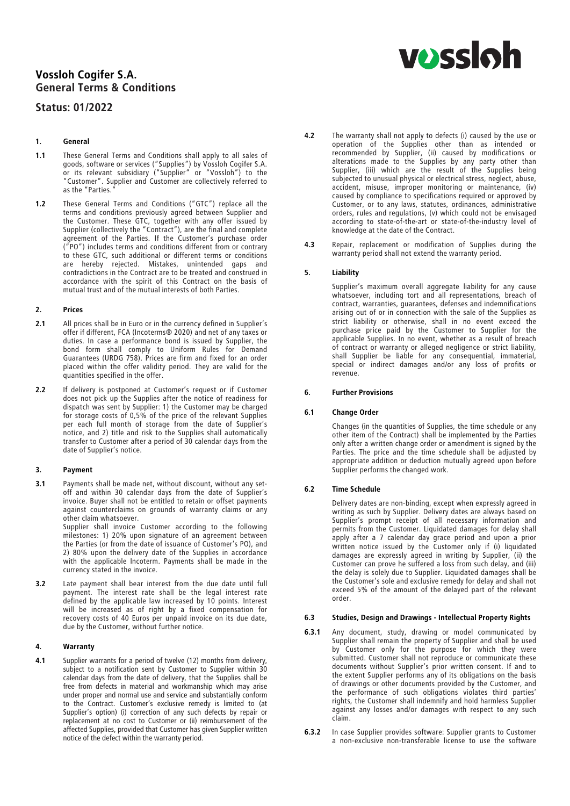# Vossloh Cogifer S.A. General Terms & Conditions

## Status: 01/2022

### 1. General

- 1.1 These General Terms and Conditions shall apply to all sales of qoods, software or services ("Supplies") by Vossloh Cogifer S.A. goods, software or services ("Supplies") by Vossloh Cogifer S.A. or its relevant subsidiary ("Supplier" or "Vossloh") to the Customer . Supplier and Customer are collectively referred to as the "Parties.
- 1.2 These General Terms and Conditions ("GTC") replace all the terms and conditions previously agreed between Supplier and the Customer. These GTC, together with any offer issued by Supplier (collectively the "Contract"), are the final and complete agreement of the Parties. If the Customer's purchase order ("PO") includes terms and conditions different from or contrary to these GTC, such additional or different terms or conditions are hereby rejected. Mistakes, unintended gaps and contradictions in the Contract are to be treated and construed in accordance with the spirit of this Contract on the basis of mutual trust and of the mutual interests of both Parties.

#### 2. Prices

- 2.1 All prices shall be in Euro or in the currency defined in Supplier's offer if different, FCA (Incoterms® 2020) and net of any taxes or duties. In case a performance bond is issued by Supplier, the bond form shall comply to Uniform Rules for Demand Guarantees (URDG 758). Prices are firm and fixed for an order placed within the offer validity period. They are valid for the quantities specified in the offer.
- 2.2 If delivery is postponed at Customer's request or if Customer does not pick up the Supplies after the notice of readiness for dispatch was sent by Supplier: 1) the Customer may be charged for storage costs of 0,5% of the price of the relevant Supplies per each full month of storage from the date of Supplier's notice, and 2) title and risk to the Supplies shall automatically transfer to Customer after a period of 30 calendar days from the date of Supplier's notice.

#### 3. Payment

3.1 Payments shall be made net, without discount, without any setoff and within 30 calendar days from the date of Supplier's invoice. Buyer shall not be entitled to retain or offset payments against counterclaims on grounds of warranty claims or any other claim whatsoever.

Supplier shall invoice Customer according to the following milestones: 1) 20% upon signature of an agreement between the Parties (or from the date of issuance of Customer's PO), and 2) 80% upon the delivery date of the Supplies in accordance with the applicable Incoterm. Payments shall be made in the currency stated in the invoice.

3.2 Late payment shall bear interest from the due date until full payment. The interest rate shall be the legal interest rate defined by the applicable law increased by 10 points. Interest will be increased as of right by a fixed compensation for recovery costs of 40 Euros per unpaid invoice on its due date, due by the Customer, without further notice.

#### 4. Warranty

4.1 Supplier warrants for a period of twelve (12) months from delivery, subject to a notification sent by Customer to Supplier within 30 calendar days from the date of delivery, that the Supplies shall be free from defects in material and workmanship which may arise under proper and normal use and service and substantially conform to the Contract. Customer's exclusive remedy is limited to (at Supplier's option) (i) correction of any such defects by repair or replacement at no cost to Customer or (ii) reimbursement of the affected Supplies, provided that Customer has given Supplier written notice of the defect within the warranty period.

- 4.2 The warranty shall not apply to defects (i) caused by the use or operation of the Supplies other than as intended or<br>recommended by Supplier, (ii) caused by modifications or recommended by Supplier, (ii) caused by modifications or alterations made to the Supplies by any party other than Supplier, (iii) which are the result of the Supplies being subjected to unusual physical or electrical stress, neglect, abuse, accident, misuse, improper monitoring or maintenance, (iv) caused by compliance to specifications required or approved by Customer, or to any laws, statutes, ordinances, administrative orders, rules and regulations, (v) which could not be envisaged according to state-of-the-art or state-of-the-industry level of knowledge at the date of the Contract.
- 4.3 Repair, replacement or modification of Supplies during the warranty period shall not extend the warranty period.

#### 5. Liability

Supplier's maximum overall aggregate liability for any cause whatsoever, including tort and all representations, breach of contract, warranties, guarantees, defenses and indemnifications<br>arising out of or in connection with the sale of the Supplies as arising out of or in connection with the sale of the Supplies as strict liability or otherwise, shall in no event exceed the purchase price paid by the Customer to Supplier for the applicable Supplies. In no event, whether as a result of breach of contract or warranty or alleged negligence or strict liability, of contract or warranty or alleged negligence or strict liability, shall Supplier be liable for any consequential, immaterial, special or indirect damages and/or any loss of profits or revenue.

#### 6. Further Provisions

#### 6.1 Change Order

Changes (in the quantities of Supplies, the time schedule or any other item of the Contract) shall be implemented by the Parties<br>only after a written change order or amendment is signed by the only after a written change order or amendment is signed by the Parties. The price and the time schedule shall be adjusted by appropriate addition or deduction mutually agreed upon before Supplier performs the changed work.

#### 6.2 Time Schedule

Delivery dates are non-binding, except when expressly agreed in writing as such by Supplier. Delivery dates are always based on Supplier's prompt receipt of all necessary information and permits from the Customer. Liquidated damages for delay shall permits from the Customer. Liquidated damages for delay shall apply after a 7 calendar day grace period and upon a prior written notice issued by the Customer only if (i) liquidated damages are expressly agreed in writing by Supplier, (ii) the Customer can prove he suffered a loss from such delay, and (iii) the delay is solely due to Supplier. Liquidated damages shall be the Customer's sole and exclusive remedy for delay and shall not exceed 5% of the amount of the delayed part of the relevant order.

#### 6.3 Studies, Design and Drawings - Intellectual Property Rights

- 6.3.1 Any document, study, drawing or model communicated by Supplier shall remain the property of Supplier and shall be used by Customer only for the purpose for which they were submitted. Customer shall not reproduce or communicate these documents without Supplier's prior written consent. If and to<br>the extent Supplier performs any of its obligations on the basis the extent Supplier performs any of its obligations on the basis of drawings or other documents provided by the Customer, and the performance of such obligations violates third parties' rights, the Customer shall indemnify and hold harmless Supplier against any losses and/or damages with respect to any such claim.
- **6.3.2** In case Supplier provides software: Supplier grants to Customer a non-exclusive non-transferable license to use the software

# **vossloh**